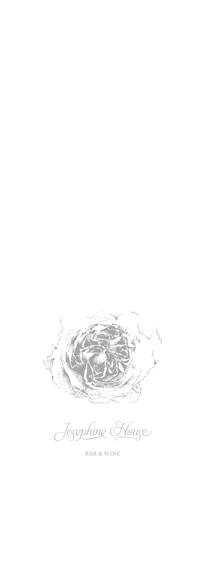

Josephine Kouse

BAR & WINE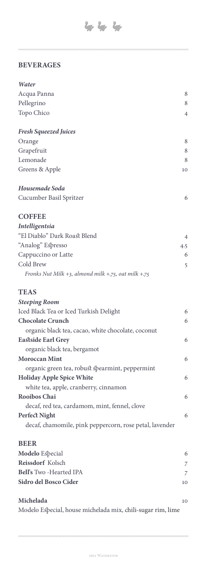**BEVERAGES**

| Water                        |    |
|------------------------------|----|
| Acqua Panna                  | 8  |
| Pellegrino                   | 8  |
| Topo Chico                   | 4  |
| <b>Fresh Squeezed Juices</b> |    |
| Orange                       | 8  |
| Grapefruit                   | 8  |
| Lemonade                     | 8  |
| Greens & Apple               | 10 |
| Housemade Soda               |    |
| Cucumber Basil Spritzer      | 6  |

#### **COFFEE**

| <b>Intelligentsia</b>                               |     |
|-----------------------------------------------------|-----|
| "El Diablo" Dark Roast Blend                        | 4   |
| "Analog" Espresso                                   | 4.5 |
| Cappuccino or Latte                                 | 6   |
| Cold Brew                                           | 5.  |
| Fronks Nut Milk +3, almond milk +.75, oat milk +.75 |     |

### **TEAS**

| <b>Steeping Room</b>                                    |   |
|---------------------------------------------------------|---|
| Iced Black Tea or Iced Turkish Delight                  | 6 |
| <b>Chocolate Crunch</b>                                 | 6 |
| organic black tea, cacao, white chocolate, coconut      |   |
| <b>Eastside Earl Grey</b>                               | 6 |
| organic black tea, bergamot                             |   |
| <b>Moroccan Mint</b>                                    | 6 |
| organic green tea, robust spearmint, peppermint         |   |
| <b>Holiday Apple Spice White</b>                        | 6 |
| white tea, apple, cranberry, cinnamon                   |   |
| <b>Rooibos Chai</b>                                     | 6 |
| decaf, red tea, cardamom, mint, fennel, clove           |   |
| Perfect Night                                           | 6 |
| decaf, chamomile, pink peppercorn, rose petal, lavender |   |
|                                                         |   |

### **BEER**

00000000000

| <b>Modelo</b> Especial         | 6  |
|--------------------------------|----|
| <b>Reissdorf</b> Kolsch        |    |
| <b>Bell's</b> Two -Hearted IPA |    |
| Sidro del Bosco Cider          | 10 |
| Michelada                      | 10 |

Modelo Especial, house michelada mix, chili-sugar rim, lime

00000000000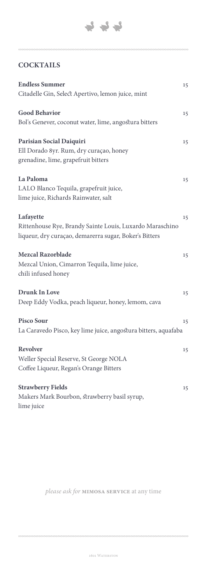

## **COCKTAILS**

| <b>Endless Summer</b>                                                                                                           | 15 |
|---------------------------------------------------------------------------------------------------------------------------------|----|
| Citadelle Gin, Select Apertivo, lemon juice, mint                                                                               |    |
| <b>Good Behavior</b><br>Bol's Genever, coconut water, lime, angostura bitters                                                   | 15 |
| Parisian Social Daiquiri<br>Ell Dorado 8yr. Rum, dry curaçao, honey<br>grenadine, lime, grapefruit bitters                      | 15 |
| La Paloma<br>LALO Blanco Tequila, grapefruit juice,<br>lime juice, Richards Rainwater, salt                                     | 15 |
| Lafayette<br>Rittenhouse Rye, Brandy Sainte Louis, Luxardo Maraschino<br>liqueur, dry curaçao, demarerra sugar, Boker's Bitters | 15 |
| Mezcal Razorblade<br>Mezcal Union, Cimarron Tequila, lime juice,<br>chili infused honey                                         | 15 |
| <b>Drunk In Love</b><br>Deep Eddy Vodka, peach liqueur, honey, lemom, cava                                                      | 15 |
| <b>Pisco Sour</b><br>La Caravedo Pisco, key lime juice, angostura bitters, aquafaba                                             | 15 |
| Revolver<br>Weller Special Reserve, St George NOLA<br>Coffee Liqueur, Regan's Orange Bitters                                    | 15 |
| <b>Strawberry Fields</b><br>Makers Mark Bourbon, strawberry basil syrup,<br>lime juice                                          | 15 |

*please ask for* **mimosa service** at any time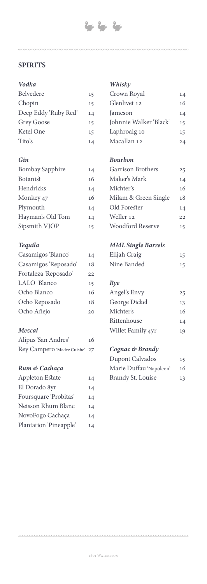### **SPIRITS**

#### *Vodka*

| Belvedere            | 15 |
|----------------------|----|
| Chopin               | 15 |
| Deep Eddy 'Ruby Red' | 14 |
| <b>Grey Goose</b>    | 15 |
| Ketel One            | 15 |
| Tito's               | 14 |

#### *Gin*

| <b>Bombay Sapphire</b> | 14 |
|------------------------|----|
| Botanist               | 16 |
| Hendricks              | 14 |
| Monkey 47              | 16 |
| Plymouth               | 14 |
| Hayman's Old Tom       | 14 |
| Sipsmith VJOP          | 15 |

#### *Tequila*

| Casamigos 'Blanco'   | 14  |
|----------------------|-----|
| Casamigos 'Reposado' | 18  |
| Fortaleza 'Reposado' | 22  |
| LALO Blanco          | 15  |
| Ocho Blanco          | 16  |
| Ocho Reposado        | 18  |
| Ocho Añejo           | 2.0 |
|                      |     |

#### *Mezcal*

| Alipus 'San Andres'           | 16 |
|-------------------------------|----|
| Rey Campero 'Madre Cuishe' 27 |    |

#### *Rum & Cachaça*

| Appleton Estate        | 14 |
|------------------------|----|
| El Dorado 8yr          | 14 |
| Foursquare 'Probitas'  | 14 |
| Neisson Rhum Blanc     | 14 |
| NovoFogo Cachaça       | 14 |
| Plantation 'Pineapple' | 14 |
|                        |    |

#### *Whisky*

| Crown Royal            | 14 |
|------------------------|----|
| Glenlivet 12           | 16 |
| Jameson                | 14 |
| Johnnie Walker 'Black' | 15 |
| Laphroaig 10           | 15 |
| Macallan 12            | 24 |

#### *Bourbon*

| Garrison Brothers    | 25   |
|----------------------|------|
| Maker's Mark         | 14   |
| Michter's            | 16   |
| Milam & Green Single | 18   |
| Old Forester         | 14   |
| Weller 12            | 2.2. |
| Woodford Reserve     | 15   |

#### *MML Single Barrels*

| Elijah Craig | 15 |
|--------------|----|
| Nine Banded  |    |

#### *Rye*

| Angel's Envy      | 25 |
|-------------------|----|
| George Dickel     | 13 |
| Michter's         | 16 |
| Rittenhouse       | 14 |
| Willet Family 4yr | 19 |
|                   |    |

#### *Cognac & Brandy*

| Dupont Calvados         | 15 |
|-------------------------|----|
| Marie Duffau 'Napoleon' | 16 |
| Brandy St. Louise       | 13 |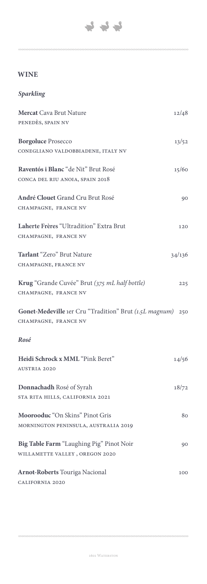

## **WINE**

## *Sparkling*

| Mercat Cava Brut Nature                                    | 12/48  |
|------------------------------------------------------------|--------|
| PENEDÈS, SPAIN NV                                          |        |
| <b>Borgoluce Prosecco</b>                                  | 13/52  |
| CONEGLIANO VALDOBBIADENE, ITALY NV                         |        |
| Raventós i Blanc "de Nit" Brut Rosé                        | 15/60  |
| CONCA DEL RIU ANOIA, SPAIN 2018                            |        |
| André Clouet Grand Cru Brut Rosé                           | 90     |
| CHAMPAGNE, FRANCE NV                                       |        |
| Laherte Frères "Ultradition" Extra Brut                    | 120    |
| CHAMPAGNE, FRANCE NV                                       |        |
| Tarlant "Zero" Brut Nature                                 | 34/136 |
| CHAMPAGNE, FRANCE NV                                       |        |
| Krug "Grande Cuvée" Brut (375 mL half bottle)              | 225    |
| CHAMPAGNE, FRANCE NV                                       |        |
| Gonet-Medeville 1er Cru "Tradition" Brut (1.5L magnum) 250 |        |
| CHAMPAGNE, FRANCE NV                                       |        |
| Rosé                                                       |        |
| Heidi Schrock x MML "Pink Beret"                           |        |
| <b>AUSTRIA 2020</b>                                        | 14/56  |
| Donnachadh Rosé of Syrah                                   | 18/72  |
| STA RITA HILLS, CALIFORNIA 2021                            |        |
| Moorooduc "On Skins" Pinot Gris                            |        |
| MORNINGTON PENINSULA, AUSTRALIA 2019                       | 80     |
| Big Table Farm "Laughing Pig" Pinot Noir                   |        |
| WILLAMETTE VALLEY, OREGON 2020                             | 90     |
| <b>Arnot-Roberts Touriga Nacional</b>                      | 100    |
| CALIFORNIA 2020                                            |        |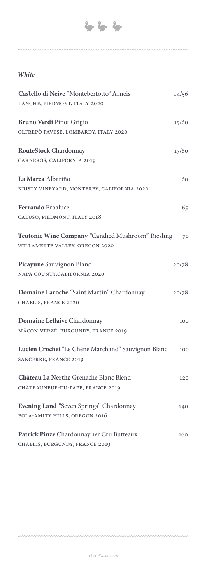#### *White*

| Castello di Neive "Montebertotto" Arneis<br>LANGHE, PIEDMONT, ITALY 2020            | 14/56 |
|-------------------------------------------------------------------------------------|-------|
| Bruno Verdi Pinot Grigio<br>OLTREPÒ PAVESE, LOMBARDY, ITALY 2020                    | 15/60 |
| RouteStock Chardonnay<br>CARNEROS, CALIFORNIA 2019                                  | 15/60 |
| La Marea Albariño<br>KRISTY VINEYARD, MONTEREY, CALIFORNIA 2020                     | 60    |
| <b>Ferrando</b> Erbaluce<br>CALUSO, PIEDMONT, ITALY 2018                            | 65    |
| Teutonic Wine Company "Candied Mushroom" Riesling<br>WILLAMETTE VALLEY, OREGON 2020 | 70    |
| Picayune Sauvignon Blanc<br>NAPA COUNTY, CALIFORNIA 2020                            | 20/78 |
| Domaine Laroche "Saint Martin" Chardonnay<br>CHABLIS, FRANCE 2020                   | 20/78 |
| Domaine Leflaive Chardonnay<br>MÂCON-VERZÉ, BURGUNDY, FRANCE 2019                   | 100   |
| Lucien Crochet "Le Chêne Marchand" Sauvignon Blanc<br>SANCERRE, FRANCE 2019         | 100   |
| Château La Nerthe Grenache Blanc Blend<br>CHÂTEAUNEUF-DU-PAPE, FRANCE 2019          | 120   |
| Evening Land "Seven Springs" Chardonnay<br>EOLA-AMITY HILLS, OREGON 2016            | 140   |
| Patrick Piuze Chardonnay 1er Cru Butteaux<br>CHABLIS, BURGUNDY, FRANCE 2019         | 160   |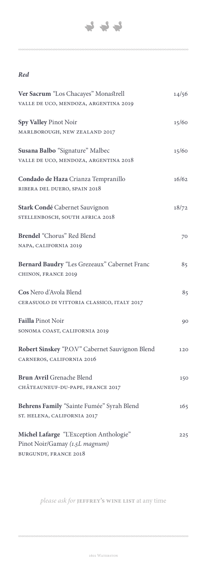

#### *Red*

| Ver Sacrum "Los Chacayes" Monastrell            | 14/56 |
|-------------------------------------------------|-------|
| VALLE DE UCO, MENDOZA, ARGENTINA 2019           |       |
| Spy Valley Pinot Noir                           | 15/60 |
| MARLBOROUGH, NEW ZEALAND 2017                   |       |
| Susana Balbo "Signature" Malbec                 | 15/60 |
| VALLE DE UCO, MENDOZA, ARGENTINA 2018           |       |
| Condado de Haza Crianza Tempranillo             | 16/62 |
| RIBERA DEL DUERO, SPAIN 2018                    |       |
| Stark Condé Cabernet Sauvignon                  | 18/72 |
| STELLENBOSCH, SOUTH AFRICA 2018                 |       |
| Brendel "Chorus" Red Blend                      | 70    |
| NAPA, CALIFORNIA 2019                           |       |
| Bernard Baudry "Les Grezeaux" Cabernet Franc    | 85    |
| CHINON, FRANCE 2019                             |       |
| Cos Nero d'Avola Blend                          | 85    |
| CERASUOLO DI VITTORIA CLASSICO, ITALY 2017      |       |
| Failla Pinot Noir                               | 90    |
| SONOMA COAST, CALIFORNIA 2019                   |       |
| Robert Sinskey "P.O.V" Cabernet Sauvignon Blend | 120   |
| CARNEROS, CALIFORNIA 2016                       |       |
| <b>Brun Avril Grenache Blend</b>                | 150   |
| CHÂTEAUNEUF-DU-PAPE, FRANCE 2017                |       |
| Behrens Family "Sainte Fumée" Syrah Blend       | 165   |
| ST. HELENA, CALIFORNIA 2017                     |       |
| Michel Lafarge "L'Exception Anthologie"         | 225   |
| Pinot Noir/Gamay (1.5L magnum)                  |       |
| <b>BURGUNDY, FRANCE 2018</b>                    |       |

*please ask for* **jeffrey's wine list** at any time